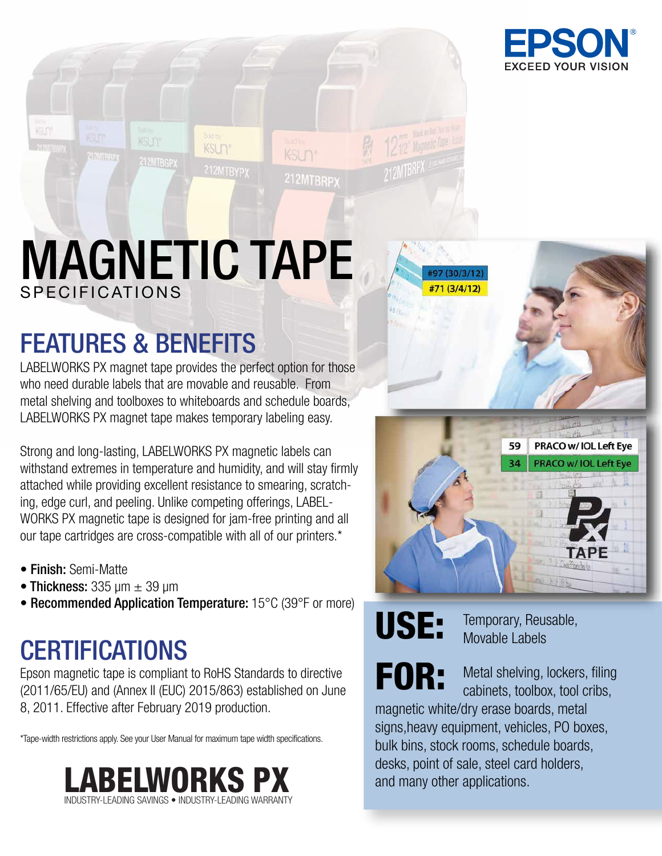

# MAGNETIC TAPE SPECIFICATIONS

KSUn<sup>®</sup>

KSUn<sup>®</sup>

212MTBRPX

### FEATURES & BENEFITS

KSLIN\*

212MTBGPX

12 Impapy

LABELWORKS PX magnet tape provides the perfect option for those who need durable labels that are movable and reusable. From metal shelving and toolboxes to whiteboards and schedule boards, LABELWORKS PX magnet tape makes temporary labeling easy.

Strong and long-lasting, LABELWORKS PX magnetic labels can withstand extremes in temperature and humidity, and will stay firmly attached while providing excellent resistance to smearing, scratching, edge curl, and peeling. Unlike competing offerings, LABEL-WORKS PX magnetic tape is designed for jam-free printing and all our tape cartridges are cross-compatible with all of our printers.\*

- Finish: Semi-Matte
- Thickness:  $335 \text{ µm} \pm 39 \text{ µm}$
- Recommended Application Temperature: 15°C (39°F or more)

## **CERTIFICATIONS**

Epson magnetic tape is compliant to RoHS Standards to directive (2011/65/EU) and (Annex II (EUC) 2015/863) established on June 8, 2011. Effective after February 2019 production.

\*Tape-width restrictions apply. See your User Manual for maximum tape width specifications.





USE: Temporary, Reusable, Movable Labels

FOR: Metal shelving, lockers, filing<br>cabinets, toolbox, tool cribs, magnetic white/dry erase boards, metal signs,heavy equipment, vehicles, PO boxes, bulk bins, stock rooms, schedule boards, desks, point of sale, steel card holders, and many other applications.